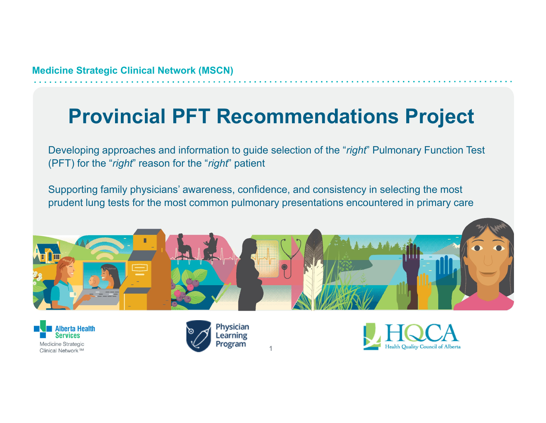# **Provincial PFT Recommendations Project**

Developing approaches and information to guide selection of the "*right*" Pulmonary Function Test (PFT) for the "*right*" reason for the "*right*" patient

Supporting family physicians' awareness, confidence, and consistency in selecting the most prudent lung tests for the most common pulmonary presentations encountered in primary care



1





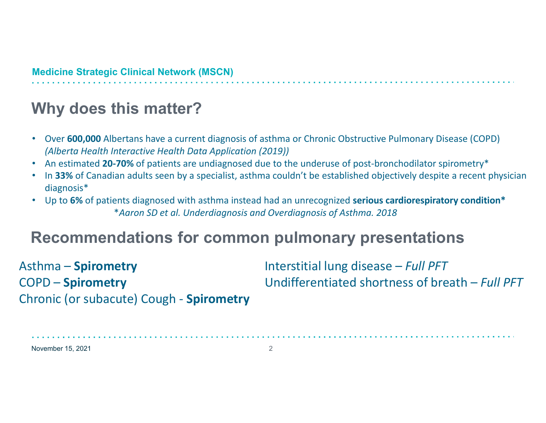## **Why does this matter?**

- $\bullet$  Over **600,000** Albertans have <sup>a</sup> current diagnosis of asthma or Chronic Obstructive Pulmonary Disease (COPD) *(Alberta Health Interactive Health Data Application (2019))*
- •An estimated **20‐70%** of patients are undiagnosed due to the underuse of post‐bronchodilator spirometry\*
- •• In 33% of Canadian adults seen by a specialist, asthma couldn't be established objectively despite a recent physician diagnosis\*
- Up to **6%** of patients diagnosed with asthma instead had an unrecognized **serious cardiorespiratory condition\*** \**Aaron SD et al. Underdiagnosis and Overdiagnosis of Asthma. 2018*

### **Recommendations for common pulmonary presentations**

Asthma – **Spirometry** Interstitial lung disease – *Full PFT* **COPD - Spirometry**  – **Spirometry** Undifferentiated shortness of breath – *Full PFT* Chronic (or subacute) Cough ‐ **Spirometry**

November 15, 2021